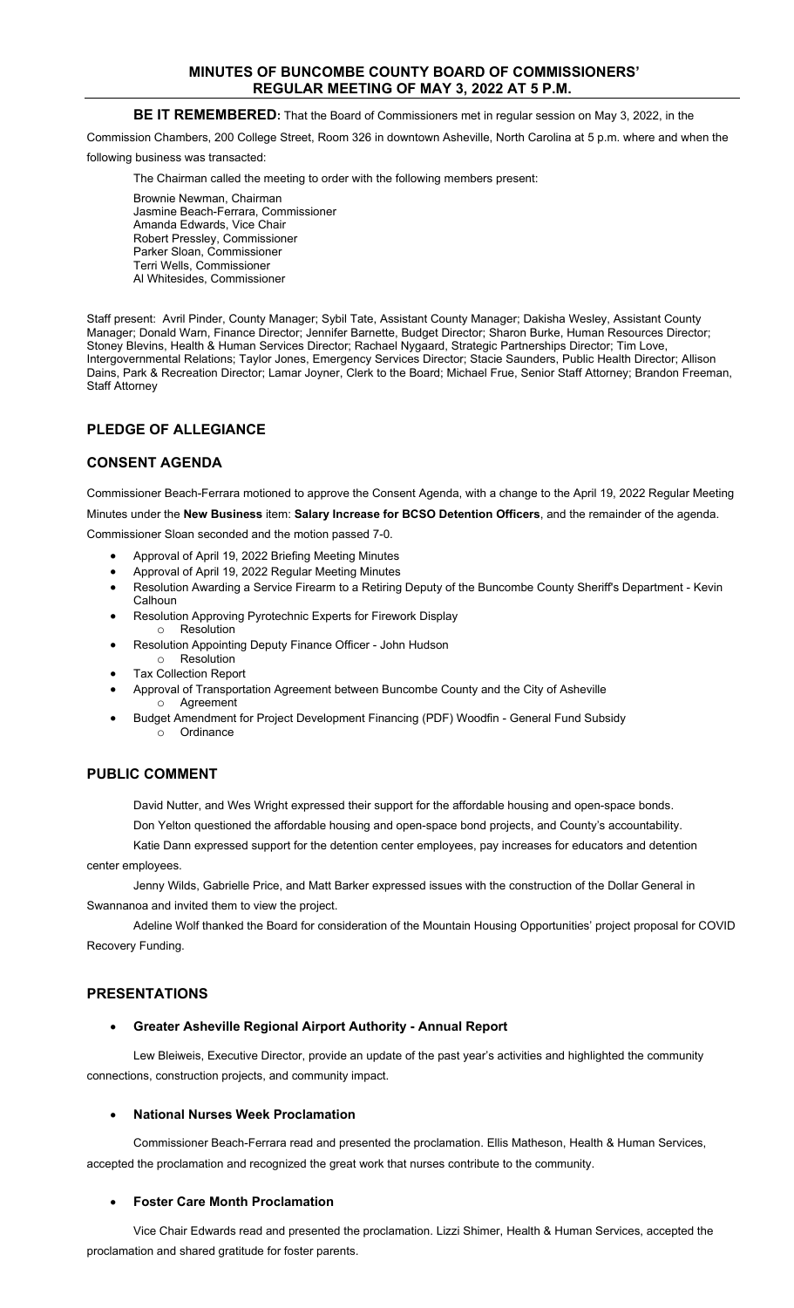## **MINUTES OF BUNCOMBE COUNTY BOARD OF COMMISSIONERS' REGULAR MEETING OF MAY 3, 2022 AT 5 P.M.**

### **BE IT REMEMBERED:** That the Board of Commissioners met in regular session on May 3, 2022, in the

Commission Chambers, 200 College Street, Room 326 in downtown Asheville, North Carolina at 5 p.m. where and when the

following business was transacted:

The Chairman called the meeting to order with the following members present:

Brownie Newman, Chairman Jasmine Beach-Ferrara, Commissioner Amanda Edwards, Vice Chair Robert Pressley, Commissioner Parker Sloan, Commissioner Terri Wells, Commissioner Al Whitesides, Commissioner

Staff present: Avril Pinder, County Manager; Sybil Tate, Assistant County Manager; Dakisha Wesley, Assistant County Manager; Donald Warn, Finance Director; Jennifer Barnette, Budget Director; Sharon Burke, Human Resources Director; Stoney Blevins, Health & Human Services Director; Rachael Nygaard, Strategic Partnerships Director; Tim Love, Intergovernmental Relations; Taylor Jones, Emergency Services Director; Stacie Saunders, Public Health Director; Allison Dains, Park & Recreation Director; Lamar Joyner, Clerk to the Board; Michael Frue, Senior Staff Attorney; Brandon Freeman, Staff Attorney

# **PLEDGE OF ALLEGIANCE**

# **CONSENT AGENDA**

Commissioner Beach-Ferrara motioned to approve the Consent Agenda, with a change to the April 19, 2022 Regular Meeting Minutes under the **New Business** item: **Salary Increase for BCSO Detention Officers**, and the remainder of the agenda.

Commissioner Sloan seconded and the motion passed 7-0.

- Approval of April 19, 2022 Briefing Meeting Minutes
- Approval of April 19, 2022 Regular Meeting Minutes
- Resolution Awarding a Service Firearm to a Retiring Deputy of the Buncombe County Sheriff's Department Kevin **Calhoun**
- Resolution Approving Pyrotechnic Experts for Firework Display o Resolution
- Resolution Appointing Deputy Finance Officer John Hudson
- o Resolution
- Tax Collection Report
- Approval of Transportation Agreement between Buncombe County and the City of Asheville o Agreement
- Budget Amendment for Project Development Financing (PDF) Woodfin General Fund Subsidy **Ordinance**

### **PUBLIC COMMENT**

David Nutter, and Wes Wright expressed their support for the affordable housing and open-space bonds.

Don Yelton questioned the affordable housing and open-space bond projects, and County's accountability.

Katie Dann expressed support for the detention center employees, pay increases for educators and detention center employees.

Jenny Wilds, Gabrielle Price, and Matt Barker expressed issues with the construction of the Dollar General in Swannanoa and invited them to view the project.

Adeline Wolf thanked the Board for consideration of the Mountain Housing Opportunities' project proposal for COVID Recovery Funding.

### **PRESENTATIONS**

# • **Greater Asheville Regional Airport Authority - Annual Report**

Lew Bleiweis, Executive Director, provide an update of the past year's activities and highlighted the community connections, construction projects, and community impact.

# • **National Nurses Week Proclamation**

Commissioner Beach-Ferrara read and presented the proclamation. Ellis Matheson, Health & Human Services, accepted the proclamation and recognized the great work that nurses contribute to the community.

# • **Foster Care Month Proclamation**

Vice Chair Edwards read and presented the proclamation. Lizzi Shimer, Health & Human Services, accepted the proclamation and shared gratitude for foster parents.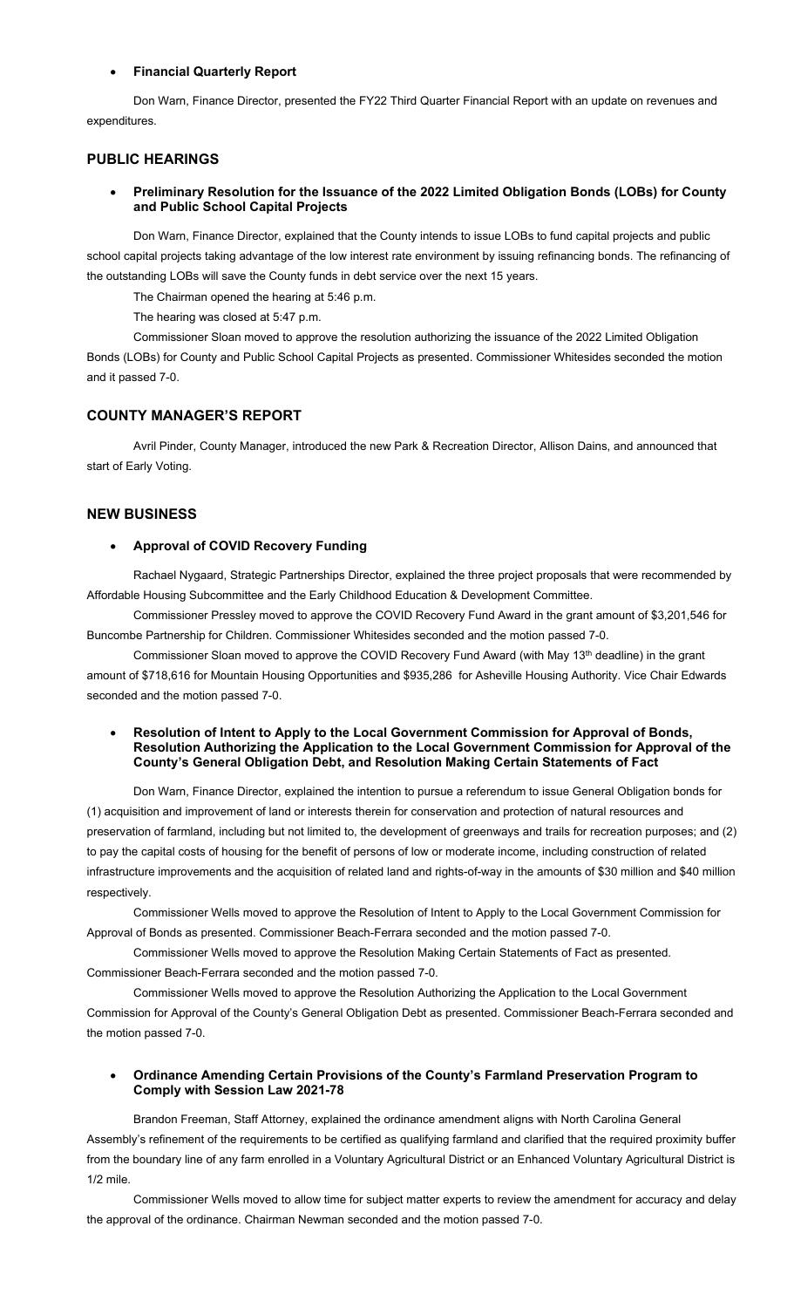#### • **Financial Quarterly Report**

Don Warn, Finance Director, presented the FY22 Third Quarter Financial Report with an update on revenues and expenditures.

# **PUBLIC HEARINGS**

#### • **Preliminary Resolution for the Issuance of the 2022 Limited Obligation Bonds (LOBs) for County and Public School Capital Projects**

Don Warn, Finance Director, explained that the County intends to issue LOBs to fund capital projects and public school capital projects taking advantage of the low interest rate environment by issuing refinancing bonds. The refinancing of the outstanding LOBs will save the County funds in debt service over the next 15 years.

The Chairman opened the hearing at 5:46 p.m.

The hearing was closed at 5:47 p.m.

Commissioner Sloan moved to approve the resolution authorizing the issuance of the 2022 Limited Obligation Bonds (LOBs) for County and Public School Capital Projects as presented. Commissioner Whitesides seconded the motion and it passed 7-0.

#### **COUNTY MANAGER'S REPORT**

Avril Pinder, County Manager, introduced the new Park & Recreation Director, Allison Dains, and announced that start of Early Voting.

#### **NEW BUSINESS**

### • **Approval of COVID Recovery Funding**

Rachael Nygaard, Strategic Partnerships Director, explained the three project proposals that were recommended by Affordable Housing Subcommittee and the Early Childhood Education & Development Committee.

Commissioner Pressley moved to approve the COVID Recovery Fund Award in the grant amount of \$3,201,546 for Buncombe Partnership for Children. Commissioner Whitesides seconded and the motion passed 7-0.

Commissioner Sloan moved to approve the COVID Recovery Fund Award (with May 13<sup>th</sup> deadline) in the grant amount of \$718,616 for Mountain Housing Opportunities and \$935,286 for Asheville Housing Authority. Vice Chair Edwards seconded and the motion passed 7-0.

#### • **Resolution of Intent to Apply to the Local Government Commission for Approval of Bonds, Resolution Authorizing the Application to the Local Government Commission for Approval of the County's General Obligation Debt, and Resolution Making Certain Statements of Fact**

Don Warn, Finance Director, explained the intention to pursue a referendum to issue General Obligation bonds for (1) acquisition and improvement of land or interests therein for conservation and protection of natural resources and preservation of farmland, including but not limited to, the development of greenways and trails for recreation purposes; and (2) to pay the capital costs of housing for the benefit of persons of low or moderate income, including construction of related infrastructure improvements and the acquisition of related land and rights-of-way in the amounts of \$30 million and \$40 million respectively.

Commissioner Wells moved to approve the Resolution of Intent to Apply to the Local Government Commission for Approval of Bonds as presented. Commissioner Beach-Ferrara seconded and the motion passed 7-0.

Commissioner Wells moved to approve the Resolution Making Certain Statements of Fact as presented. Commissioner Beach-Ferrara seconded and the motion passed 7-0.

Commissioner Wells moved to approve the Resolution Authorizing the Application to the Local Government Commission for Approval of the County's General Obligation Debt as presented. Commissioner Beach-Ferrara seconded and the motion passed 7-0.

## • **Ordinance Amending Certain Provisions of the County's Farmland Preservation Program to Comply with Session Law 2021-78**

Brandon Freeman, Staff Attorney, explained the ordinance amendment aligns with North Carolina General Assembly's refinement of the requirements to be certified as qualifying farmland and clarified that the required proximity buffer from the boundary line of any farm enrolled in a Voluntary Agricultural District or an Enhanced Voluntary Agricultural District is 1/2 mile.

Commissioner Wells moved to allow time for subject matter experts to review the amendment for accuracy and delay the approval of the ordinance. Chairman Newman seconded and the motion passed 7-0.